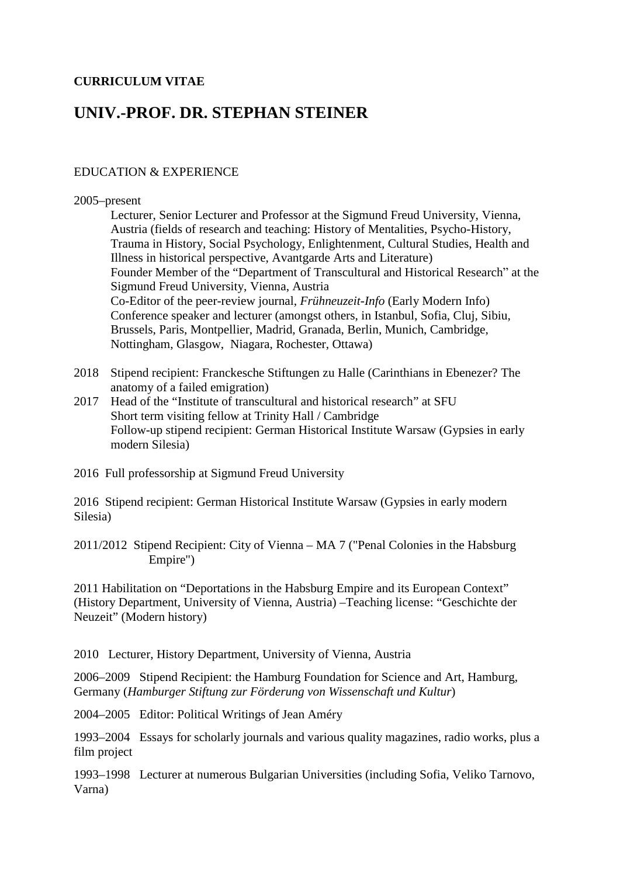## **CURRICULUM VITAE**

# **UNIV.-PROF. DR. STEPHAN STEINER**

### EDUCATION & EXPERIENCE

#### 2005–present

Lecturer, Senior Lecturer and Professor at the Sigmund Freud University, Vienna, Austria (fields of research and teaching: History of Mentalities, Psycho-History, Trauma in History, Social Psychology, Enlightenment, Cultural Studies, Health and Illness in historical perspective, Avantgarde Arts and Literature) Founder Member of the "Department of Transcultural and Historical Research" at the Sigmund Freud University, Vienna, Austria Co-Editor of the peer-review journal, *Frühneuzeit-Info* (Early Modern Info) Conference speaker and lecturer (amongst others, in Istanbul, Sofia, Cluj, Sibiu, Brussels, Paris, Montpellier, Madrid, Granada, Berlin, Munich, Cambridge, Nottingham, Glasgow, Niagara, Rochester, Ottawa)

- 2018 Stipend recipient: Franckesche Stiftungen zu Halle (Carinthians in Ebenezer? The anatomy of a failed emigration)
- 2017 Head of the "Institute of transcultural and historical research" at SFU Short term visiting fellow at Trinity Hall / Cambridge Follow-up stipend recipient: German Historical Institute Warsaw (Gypsies in early modern Silesia)
- 2016 Full professorship at Sigmund Freud University

2016 Stipend recipient: German Historical Institute Warsaw (Gypsies in early modern Silesia)

2011/2012 Stipend Recipient: City of Vienna – MA 7 ("Penal Colonies in the Habsburg Empire")

2011 Habilitation on "Deportations in the Habsburg Empire and its European Context" (History Department, University of Vienna, Austria) –Teaching license: "Geschichte der Neuzeit" (Modern history)

2010 Lecturer, History Department, University of Vienna, Austria

2006–2009 Stipend Recipient: the Hamburg Foundation for Science and Art, Hamburg, Germany (*Hamburger Stiftung zur Förderung von Wissenschaft und Kultur*)

2004–2005 Editor: Political Writings of Jean Améry

1993–2004 Essays for scholarly journals and various quality magazines, radio works, plus a film project

1993–1998 Lecturer at numerous Bulgarian Universities (including Sofia, Veliko Tarnovo, Varna)